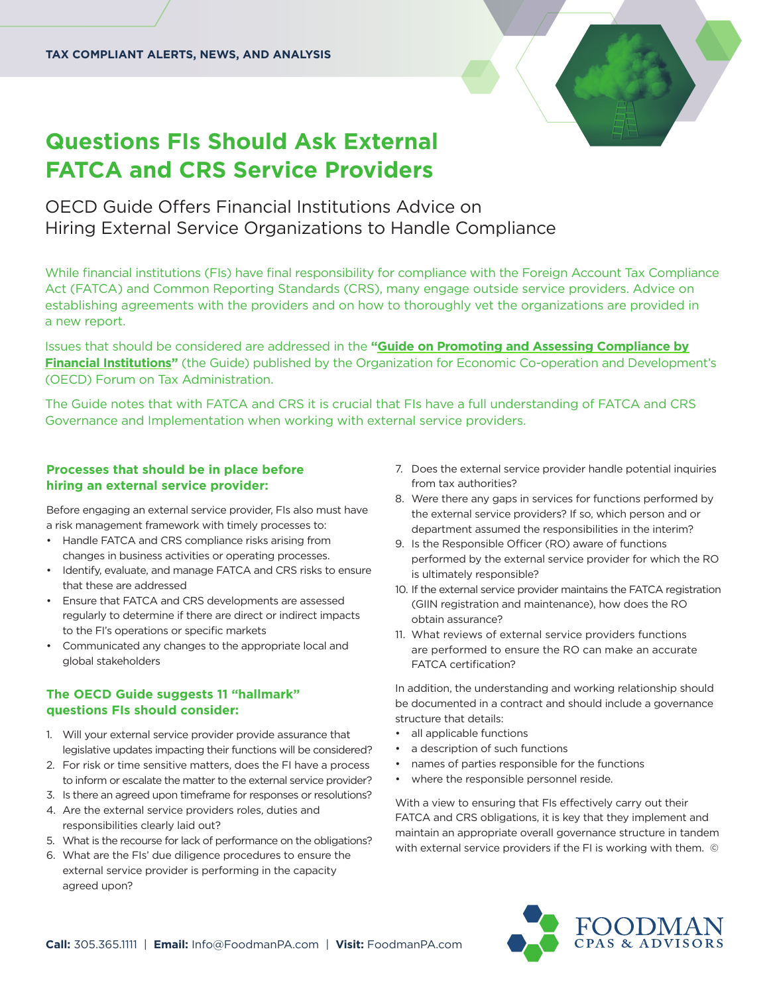# **Questions FIs Should Ask External FATCA and CRS Service Providers**

OECD Guide Offers Financial Institutions Advice on Hiring External Service Organizations to Handle Compliance

While financial institutions (FIs) have final responsibility for compliance with the Foreign Account Tax Compliance Act (FATCA) and Common Reporting Standards (CRS), many engage outside service providers. Advice on establishing agreements with the providers and on how to thoroughly vet the organizations are provided in a new report.

Issues that should be considered are addressed in the **"Guide on Promoting and Assessing Compliance by Financial Institutions"** [\(the Guide\) published by the Organization for Economic Co-operation and Developme](https://www.oecd.org/tax/forum-on-tax-administration/publications-and-products/guide-on-promoting-and-assessing-compliance-by-Financial-Institutions.pdf)nt's (OECD) Forum on Tax Administration.

The Guide notes that with FATCA and CRS it is crucial that FIs have a full understanding of FATCA and CRS Governance and Implementation when working with external service providers.

# **Processes that should be in place before hiring an external service provider:**

Before engaging an external service provider, FIs also must have a risk management framework with timely processes to:

- Handle FATCA and CRS compliance risks arising from changes in business activities or operating processes.
- Identify, evaluate, and manage FATCA and CRS risks to ensure that these are addressed
- Ensure that FATCA and CRS developments are assessed regularly to determine if there are direct or indirect impacts to the FI's operations or specific markets
- Communicated any changes to the appropriate local and global stakeholders

# **The OECD Guide suggests 11 "hallmark" questions FIs should consider:**

- 1. Will your external service provider provide assurance that legislative updates impacting their functions will be considered?
- 2. For risk or time sensitive matters, does the FI have a process to inform or escalate the matter to the external service provider?
- 3. Is there an agreed upon timeframe for responses or resolutions?
- 4. Are the external service providers roles, duties and responsibilities clearly laid out?
- 5. What is the recourse for lack of performance on the obligations?
- 6. What are the FIs' due diligence procedures to ensure the external service provider is performing in the capacity agreed upon?
- 7. Does the external service provider handle potential inquiries from tax authorities?
- 8. Were there any gaps in services for functions performed by the external service providers? If so, which person and or department assumed the responsibilities in the interim?
- 9. Is the Responsible Officer (RO) aware of functions performed by the external service provider for which the RO is ultimately responsible?
- 10. If the external service provider maintains the FATCA registration (GIIN registration and maintenance), how does the RO obtain assurance?
- 11. What reviews of external service providers functions are performed to ensure the RO can make an accurate FATCA certification?

In addition, the understanding and working relationship should be documented in a contract and should include a governance structure that details:

- all applicable functions
- a description of such functions
- names of parties responsible for the functions
- where the responsible personnel reside.

With a view to ensuring that FIs effectively carry out their FATCA and CRS obligations, it is key that they implement and maintain an appropriate overall governance structure in tandem with external service providers if the FI is working with them. ©

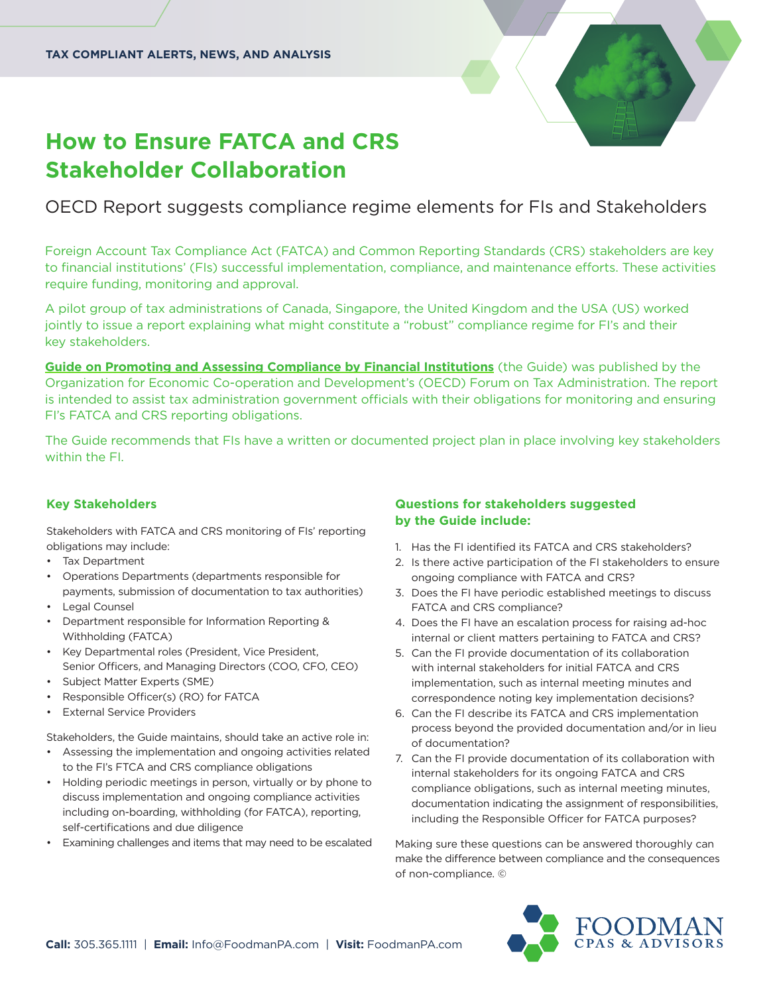

# **How to Ensure FATCA and CRS Stakeholder Collaboration**

# OECD Report suggests compliance regime elements for FIs and Stakeholders

Foreign Account Tax Compliance Act (FATCA) and Common Reporting Standards (CRS) stakeholders are key to financial institutions' (FIs) successful implementation, compliance, and maintenance efforts. These activities require funding, monitoring and approval.

A pilot group of tax administrations of Canada, Singapore, the United Kingdom and the USA (US) worked jointly to issue a report explaining what might constitute a "robust" compliance regime for FI's and their key stakeholders.

**[Guide on Promoting and Assessing Compliance by Financial Institutions](https://www.oecd.org/tax/forum-on-tax-administration/publications-and-products/guide-on-promoting-and-assessing-compliance-by-Financial-Institutions.pdf)** (the Guide) was published by the Organization for Economic Co-operation and Development's (OECD) Forum on Tax Administration. The report is intended to assist tax administration government officials with their obligations for monitoring and ensuring FI's FATCA and CRS reporting obligations.

The Guide recommends that FIs have a written or documented project plan in place involving key stakeholders within the FI.

# **Key Stakeholders**

Stakeholders with FATCA and CRS monitoring of FIs' reporting obligations may include:

- Tax Department
- Operations Departments (departments responsible for payments, submission of documentation to tax authorities)
- Legal Counsel
- Department responsible for Information Reporting & Withholding (FATCA)
- Key Departmental roles (President, Vice President, Senior Officers, and Managing Directors (COO, CFO, CEO)
- Subject Matter Experts (SME)
- Responsible Officer(s) (RO) for FATCA
- **External Service Providers**

Stakeholders, the Guide maintains, should take an active role in:

- Assessing the implementation and ongoing activities related to the FI's FTCA and CRS compliance obligations
- Holding periodic meetings in person, virtually or by phone to discuss implementation and ongoing compliance activities including on-boarding, withholding (for FATCA), reporting, self-certifications and due diligence
- Examining challenges and items that may need to be escalated

# **Questions for stakeholders suggested by the Guide include:**

- 1. Has the FI identified its FATCA and CRS stakeholders?
- 2. Is there active participation of the FI stakeholders to ensure ongoing compliance with FATCA and CRS?
- 3. Does the FI have periodic established meetings to discuss FATCA and CRS compliance?
- 4. Does the FI have an escalation process for raising ad-hoc internal or client matters pertaining to FATCA and CRS?
- 5. Can the FI provide documentation of its collaboration with internal stakeholders for initial FATCA and CRS implementation, such as internal meeting minutes and correspondence noting key implementation decisions?
- 6. Can the FI describe its FATCA and CRS implementation process beyond the provided documentation and/or in lieu of documentation?
- 7. Can the FI provide documentation of its collaboration with internal stakeholders for its ongoing FATCA and CRS compliance obligations, such as internal meeting minutes, documentation indicating the assignment of responsibilities, including the Responsible Officer for FATCA purposes?

Making sure these questions can be answered thoroughly can make the difference between compliance and the consequences of non-compliance. ©

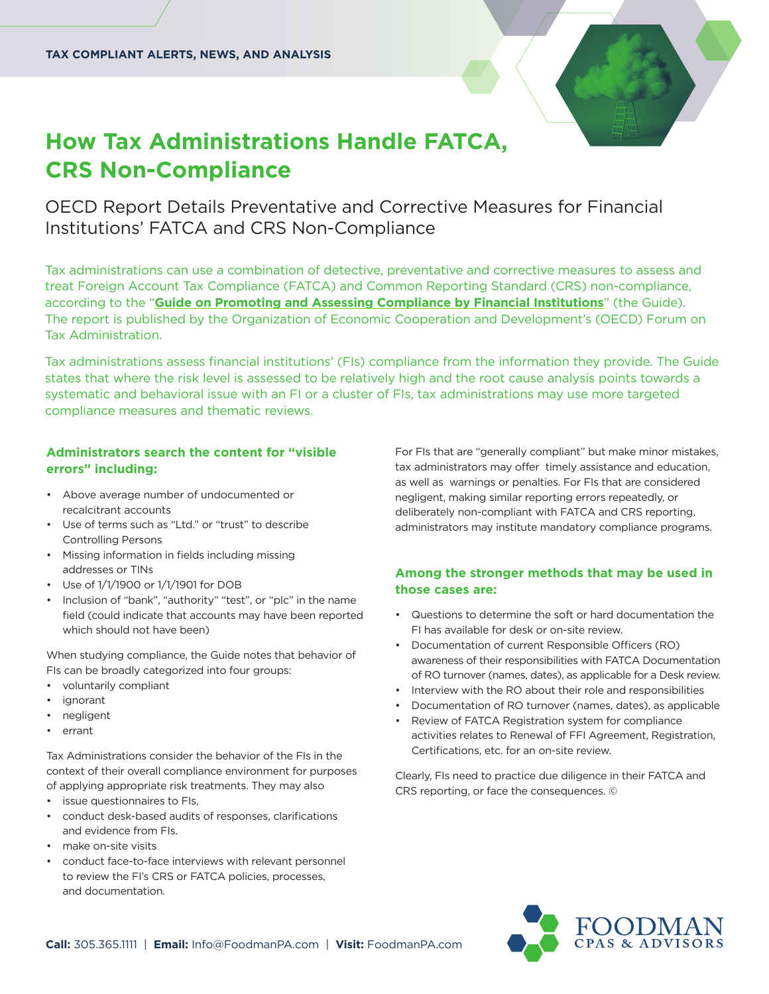# **How Tax Administrations Handle FATCA, CRS Non-Compliance**

OECD Report Details Preventative and Corrective Measures for Financial Institutions' FATCA and CRS Non-Compliance

Tax administrations can use a combination of detective, preventative and corrective measures to assess and treat Foreign Account Tax Compliance (FATCA) and Common Reporting Standard (CRS) non-compliance, according to the "**[Guide on Promoting and Assessing Compliance by Financial Institutions](https://www.oecd.org/tax/forum-on-tax-administration/publications-and-products/guide-on-promoting-and-assessing-compliance-by-Financial-Institutions.pdf)**" (the Guide). The report is published by the Organization of Economic Cooperation and Development's (OECD) Forum on Tax Administration.

Tax administrations assess financial institutions' (FIs) compliance from the information they provide. The Guide states that where the risk level is assessed to be relatively high and the root cause analysis points towards a systematic and behavioral issue with an FI or a cluster of FIs, tax administrations may use more targeted compliance measures and thematic reviews.

# **Administrators search the content for "visible errors" including:**

- Above average number of undocumented or recalcitrant accounts
- Use of terms such as "Ltd." or "trust" to describe Controlling Persons
- Missing information in fields including missing addresses or TINs
- Use of 1/1/1900 or 1/1/1901 for DOB
- Inclusion of "bank", "authority" "test", or "plc" in the name field (could indicate that accounts may have been reported which should not have been)

When studying compliance, the Guide notes that behavior of FIs can be broadly categorized into four groups:

- voluntarily compliant
- *ignorant*
- negligent
- errant

Tax Administrations consider the behavior of the FIs in the context of their overall compliance environment for purposes of applying appropriate risk treatments. They may also

- issue questionnaires to FIs,
- conduct desk-based audits of responses, clarifications and evidence from FIs.
- make on-site visits
- conduct face-to-face interviews with relevant personnel to review the FI's CRS or FATCA policies, processes, and documentation.

For FIs that are "generally compliant" but make minor mistakes, tax administrators may offer timely assistance and education, as well as warnings or penalties. For FIs that are considered negligent, making similar reporting errors repeatedly, or deliberately non-compliant with FATCA and CRS reporting, administrators may institute mandatory compliance programs.

# **Among the stronger methods that may be used in those cases are:**

- Questions to determine the soft or hard documentation the FI has available for desk or on-site review.
- Documentation of current Responsible Officers (RO) awareness of their responsibilities with FATCA Documentation of RO turnover (names, dates), as applicable for a Desk review.
- Interview with the RO about their role and responsibilities
- Documentation of RO turnover (names, dates), as applicable
- Review of FATCA Registration system for compliance activities relates to Renewal of FFI Agreement, Registration, Certifications, etc. for an on-site review.

Clearly, FIs need to practice due diligence in their FATCA and CRS reporting, or face the consequences. ©

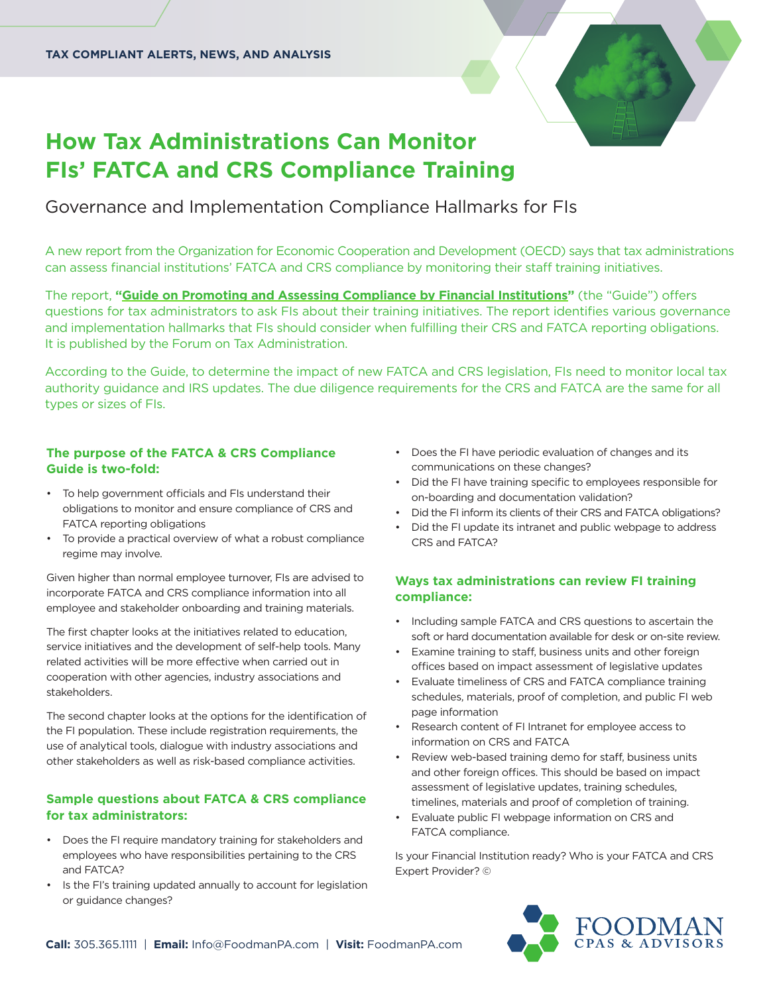

# **How Tax Administrations Can Monitor FIs' FATCA and CRS Compliance Training**

# Governance and Implementation Compliance Hallmarks for FIs

A new report from the Organization for Economic Cooperation and Development (OECD) says that tax administrations can assess financial institutions' FATCA and CRS compliance by monitoring their staff training initiatives.

The report, "**Guide on Promoting and Assessing Compliance by Financial Institutions" (the "Guide") offers** questions for tax administrators to ask FIs about their training initiatives. The report identifies various governance and implementation hallmarks that FIs should consider when fulfilling their CRS and FATCA reporting obligations. It is published by the Forum on Tax Administration.

According to the Guide, to determine the impact of new FATCA and CRS legislation, FIs need to monitor local tax authority guidance and IRS updates. The due diligence requirements for the CRS and FATCA are the same for all types or sizes of FIs.

# **The purpose of the FATCA & CRS Compliance Guide is two-fold:**

- To help government officials and FIs understand their obligations to monitor and ensure compliance of CRS and FATCA reporting obligations
- To provide a practical overview of what a robust compliance regime may involve.

Given higher than normal employee turnover, FIs are advised to incorporate FATCA and CRS compliance information into all employee and stakeholder onboarding and training materials.

The first chapter looks at the initiatives related to education, service initiatives and the development of self-help tools. Many related activities will be more effective when carried out in cooperation with other agencies, industry associations and stakeholders.

The second chapter looks at the options for the identification of the FI population. These include registration requirements, the use of analytical tools, dialogue with industry associations and other stakeholders as well as risk-based compliance activities.

### **Sample questions about FATCA & CRS compliance for tax administrators:**

- Does the FI require mandatory training for stakeholders and employees who have responsibilities pertaining to the CRS and FATCA?
- Is the FI's training updated annually to account for legislation or guidance changes?
- Does the FI have periodic evaluation of changes and its communications on these changes?
- Did the FI have training specific to employees responsible for on-boarding and documentation validation?
- Did the FI inform its clients of their CRS and FATCA obligations?
- Did the FI update its intranet and public webpage to address CRS and FATCA?

# **Ways tax administrations can review FI training compliance:**

- Including sample FATCA and CRS questions to ascertain the soft or hard documentation available for desk or on-site review.
- Examine training to staff, business units and other foreign offices based on impact assessment of legislative updates
- Evaluate timeliness of CRS and FATCA compliance training schedules, materials, proof of completion, and public FI web page information
- Research content of FI Intranet for employee access to information on CRS and FATCA
- Review web-based training demo for staff, business units and other foreign offices. This should be based on impact assessment of legislative updates, training schedules, timelines, materials and proof of completion of training.
- Evaluate public FI webpage information on CRS and FATCA compliance.

Is your Financial Institution ready? Who is your FATCA and CRS Expert Provider? ©

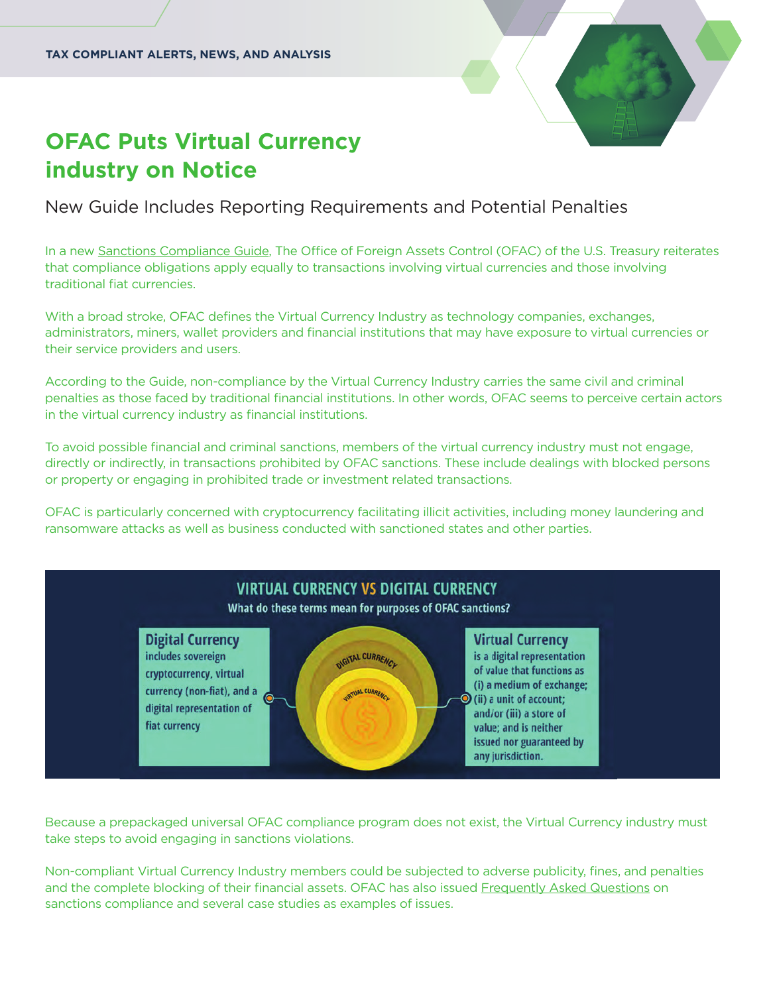# **OFAC Puts Virtual Currency industry on Notice**

New Guide Includes Reporting Requirements and Potential Penalties

In a new [Sanctions Compliance Guide](https://home.treasury.gov/system/files/126/virtual_currency_guidance_brochure.pdf), The Office of Foreign Assets Control (OFAC) of the U.S. Treasury reiterates that compliance obligations apply equally to transactions involving virtual currencies and those involving traditional fiat currencies.

With a broad stroke, OFAC defines the Virtual Currency Industry as technology companies, exchanges, administrators, miners, wallet providers and financial institutions that may have exposure to virtual currencies or their service providers and users.

According to the Guide, non-compliance by the Virtual Currency Industry carries the same civil and criminal penalties as those faced by traditional financial institutions. In other words, OFAC seems to perceive certain actors in the virtual currency industry as financial institutions.

To avoid possible financial and criminal sanctions, members of the virtual currency industry must not engage, directly or indirectly, in transactions prohibited by OFAC sanctions. These include dealings with blocked persons or property or engaging in prohibited trade or investment related transactions.

OFAC is particularly concerned with cryptocurrency facilitating illicit activities, including money laundering and ransomware attacks as well as business conducted with sanctioned states and other parties.



Because a prepackaged universal OFAC compliance program does not exist, the Virtual Currency industry must take steps to avoid engaging in sanctions violations.

Non-compliant Virtual Currency Industry members could be subjected to adverse publicity, fines, and penalties and the complete blocking of their financial assets. OFAC has also issued [Frequently Asked Questions](https://home.treasury.gov/policy-issues/financial-sanctions/faqs#vc_faqs) on sanctions compliance and several case studies as examples of issues.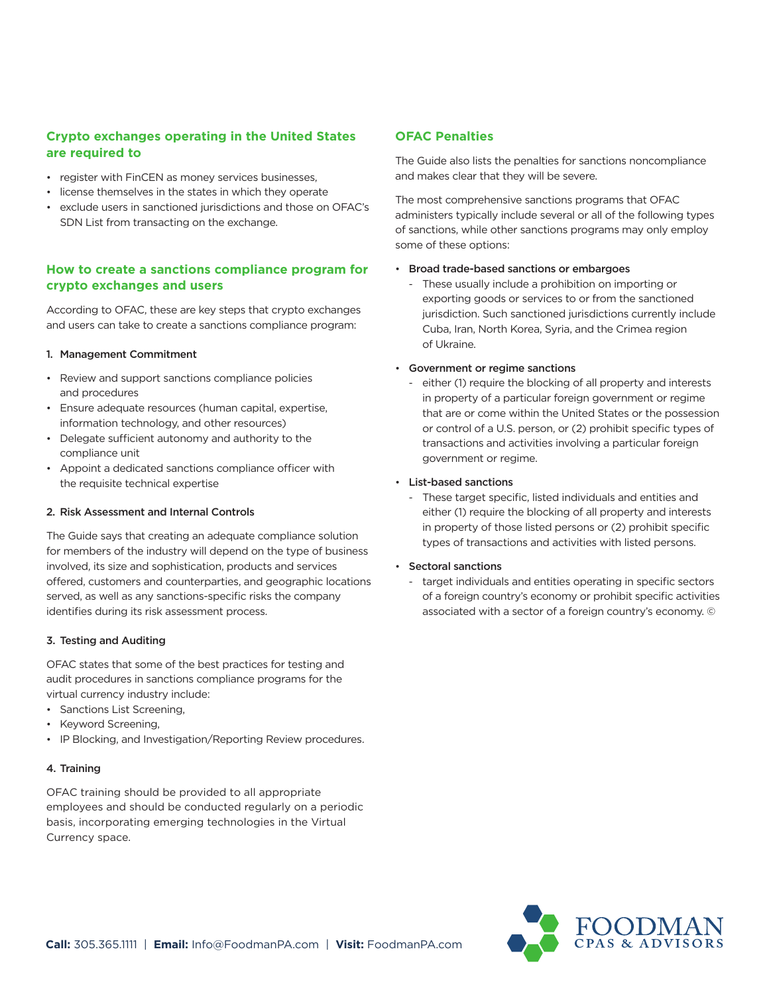# **Crypto exchanges operating in the United States are required to**

- register with FinCEN as money services businesses,
- license themselves in the states in which they operate
- exclude users in sanctioned jurisdictions and those on OFAC's SDN List from transacting on the exchange.

### **How to create a sanctions compliance program for crypto exchanges and users**

According to OFAC, these are key steps that crypto exchanges and users can take to create a sanctions compliance program:

### 1. Management Commitment

- Review and support sanctions compliance policies and procedures
- Ensure adequate resources (human capital, expertise, information technology, and other resources)
- Delegate sufficient autonomy and authority to the compliance unit
- Appoint a dedicated sanctions compliance officer with the requisite technical expertise

### 2. Risk Assessment and Internal Controls

The Guide says that creating an adequate compliance solution for members of the industry will depend on the type of business involved, its size and sophistication, products and services offered, customers and counterparties, and geographic locations served, as well as any sanctions-specific risks the company identifies during its risk assessment process.

### 3. Testing and Auditing

OFAC states that some of the best practices for testing and audit procedures in sanctions compliance programs for the virtual currency industry include:

- Sanctions List Screening,
- Keyword Screening,
- IP Blocking, and Investigation/Reporting Review procedures.

### 4. Training

OFAC training should be provided to all appropriate employees and should be conducted regularly on a periodic basis, incorporating emerging technologies in the Virtual Currency space.

### **OFAC Penalties**

The Guide also lists the penalties for sanctions noncompliance and makes clear that they will be severe.

The most comprehensive sanctions programs that OFAC administers typically include several or all of the following types of sanctions, while other sanctions programs may only employ some of these options:

### • Broad trade-based sanctions or embargoes

 - These usually include a prohibition on importing or exporting goods or services to or from the sanctioned jurisdiction. Such sanctioned jurisdictions currently include Cuba, Iran, North Korea, Syria, and the Crimea region of Ukraine.

### • Government or regime sanctions

 - either (1) require the blocking of all property and interests in property of a particular foreign government or regime that are or come within the United States or the possession or control of a U.S. person, or (2) prohibit specific types of transactions and activities involving a particular foreign government or regime.

### • List-based sanctions

 - These target specific, listed individuals and entities and either (1) require the blocking of all property and interests in property of those listed persons or (2) prohibit specific types of transactions and activities with listed persons.

### • Sectoral sanctions

 - target individuals and entities operating in specific sectors of a foreign country's economy or prohibit specific activities associated with a sector of a foreign country's economy. ©

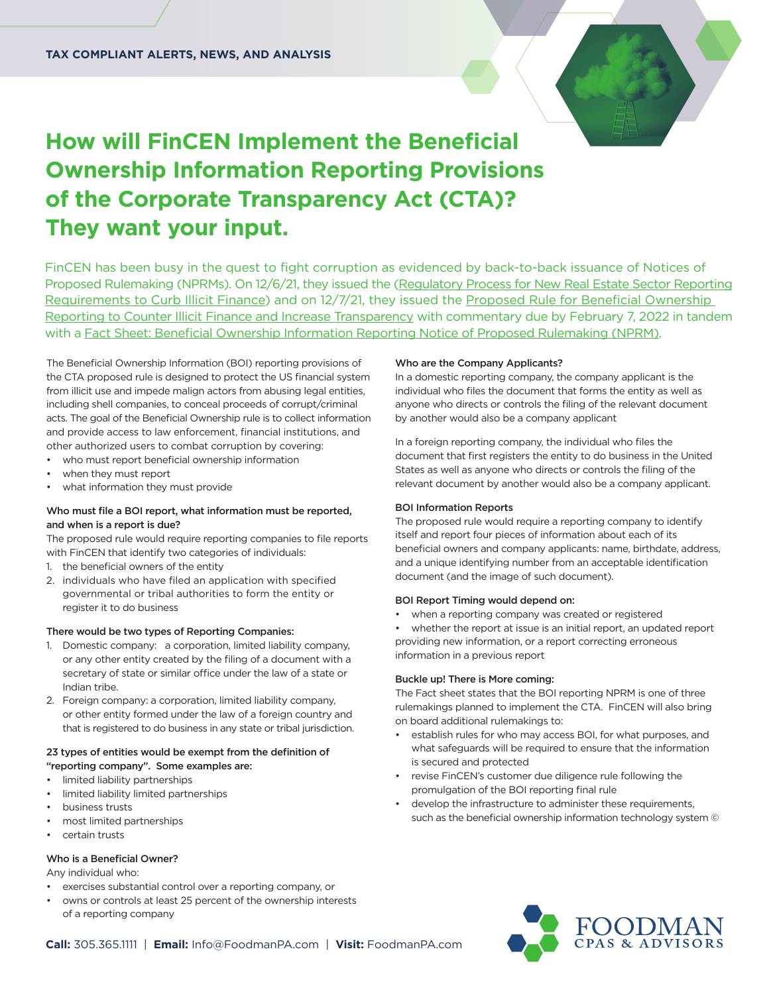

# **How will FinCEN Implement the Beneficial Ownership Information Reporting Provisions of the Corporate Transparency Act (CTA)? They want your input.**

FinCEN has been busy in the quest to fight corruption as evidenced by back-to-back issuance of Notices of [Proposed Rulemaking \(NPRMs\). On 12/6/21, they issued the \(Regulatory Process for New Real Estate Sector Reporting](https://www.fincen.gov/news/news-releases/fincen-launches-regulatory-process-new-real-estate-sector-reporting-requirements) [Requirements to Curb Illicit Finance\) and on 12/7/21, they issued the Proposed Rule for Beneficial Ownership](https://www.fincen.gov/news/news-releases/fincen-issues-proposed-rule-beneficial-ownership-reporting-counter-illicit)  Reporting to Counter Illicit Finance and Increase Transparency with commentary due by February 7, 2022 in tandem with a [Fact Sheet: Beneficial Ownership Information Reporting Notice of Proposed Rulemaking \(NPRM\).](https://www.fincen.gov/news/news-releases/fact-sheet-beneficial-ownership-information-reporting-notice-proposed-rulemaking)

The Beneficial Ownership Information (BOI) reporting provisions of the CTA proposed rule is designed to protect the US financial system from illicit use and impede malign actors from abusing legal entities, including shell companies, to conceal proceeds of corrupt/criminal acts. The goal of the Beneficial Ownership rule is to collect information and provide access to law enforcement, financial institutions, and other authorized users to combat corruption by covering:

- who must report beneficial ownership information
- when they must report
- what information they must provide

### Who must file a BOI report, what information must be reported, and when is a report is due?

The proposed rule would require reporting companies to file reports with FinCEN that identify two categories of individuals:

- 1. the beneficial owners of the entity
- 2. individuals who have filed an application with specified governmental or tribal authorities to form the entity or register it to do business

#### There would be two types of Reporting Companies:

- 1. Domestic company: a corporation, limited liability company, or any other entity created by the filing of a document with a secretary of state or similar office under the law of a state or Indian tribe.
- 2. Foreign company: a corporation, limited liability company, or other entity formed under the law of a foreign country and that is registered to do business in any state or tribal jurisdiction.

### 23 types of entities would be exempt from the definition of "reporting company". Some examples are:

- limited liability partnerships
- limited liability limited partnerships
- business trusts
- most limited partnerships
- certain trusts

#### Who is a Beneficial Owner?

Any individual who:

- exercises substantial control over a reporting company, or
- owns or controls at least 25 percent of the ownership interests of a reporting company

#### Who are the Company Applicants?

In a domestic reporting company, the company applicant is the individual who files the document that forms the entity as well as anyone who directs or controls the filing of the relevant document by another would also be a company applicant

In a foreign reporting company, the individual who files the document that first registers the entity to do business in the United States as well as anyone who directs or controls the filing of the relevant document by another would also be a company applicant.

#### BOI Information Reports

The proposed rule would require a reporting company to identify itself and report four pieces of information about each of its beneficial owners and company applicants: name, birthdate, address, and a unique identifying number from an acceptable identification document (and the image of such document).

#### BOI Report Timing would depend on:

- when a reporting company was created or registered
- whether the report at issue is an initial report, an updated report providing new information, or a report correcting erroneous information in a previous report

#### Buckle up! There is More coming:

The Fact sheet states that the BOI reporting NPRM is one of three rulemakings planned to implement the CTA. FinCEN will also bring on board additional rulemakings to:

- establish rules for who may access BOI, for what purposes, and what safeguards will be required to ensure that the information is secured and protected
- revise FinCEN's customer due diligence rule following the promulgation of the BOI reporting final rule
- develop the infrastructure to administer these requirements, such as the beneficial ownership information technology system ©

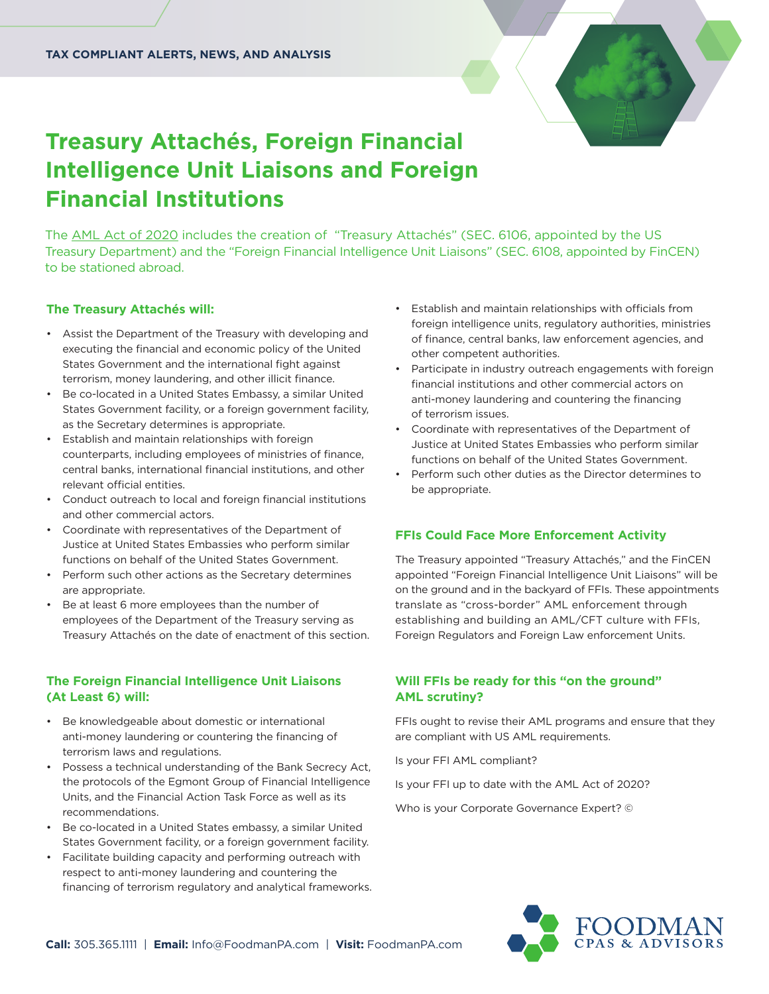

# **Treasury Attachés, Foreign Financial Intelligence Unit Liaisons and Foreign Financial Institutions**

The [AML Act of 2020](https://www.congress.gov/116/bills/hr6395/BILLS-116hr6395enr.pdf) includes the creation of "Treasury Attachés" (SEC. 6106, appointed by the US Treasury Department) and the "Foreign Financial Intelligence Unit Liaisons" (SEC. 6108, appointed by FinCEN) to be stationed abroad.

### **The Treasury Attachés will:**

- Assist the Department of the Treasury with developing and executing the financial and economic policy of the United States Government and the international fight against terrorism, money laundering, and other illicit finance.
- Be co-located in a United States Embassy, a similar United States Government facility, or a foreign government facility, as the Secretary determines is appropriate.
- Establish and maintain relationships with foreign counterparts, including employees of ministries of finance, central banks, international financial institutions, and other relevant official entities.
- Conduct outreach to local and foreign financial institutions and other commercial actors.
- Coordinate with representatives of the Department of Justice at United States Embassies who perform similar functions on behalf of the United States Government.
- Perform such other actions as the Secretary determines are appropriate.
- Be at least 6 more employees than the number of employees of the Department of the Treasury serving as Treasury Attachés on the date of enactment of this section.

### **The Foreign Financial Intelligence Unit Liaisons (At Least 6) will:**

- Be knowledgeable about domestic or international anti-money laundering or countering the financing of terrorism laws and regulations.
- Possess a technical understanding of the Bank Secrecy Act, the protocols of the Egmont Group of Financial Intelligence Units, and the Financial Action Task Force as well as its recommendations.
- Be co-located in a United States embassy, a similar United States Government facility, or a foreign government facility.
- Facilitate building capacity and performing outreach with respect to anti-money laundering and countering the financing of terrorism regulatory and analytical frameworks.
- Establish and maintain relationships with officials from foreign intelligence units, regulatory authorities, ministries of finance, central banks, law enforcement agencies, and other competent authorities.
- Participate in industry outreach engagements with foreign financial institutions and other commercial actors on anti-money laundering and countering the financing of terrorism issues.
- Coordinate with representatives of the Department of Justice at United States Embassies who perform similar functions on behalf of the United States Government.
- Perform such other duties as the Director determines to be appropriate.

### **FFIs Could Face More Enforcement Activity**

The Treasury appointed "Treasury Attachés," and the FinCEN appointed "Foreign Financial Intelligence Unit Liaisons" will be on the ground and in the backyard of FFIs. These appointments translate as "cross-border" AML enforcement through establishing and building an AML/CFT culture with FFIs, Foreign Regulators and Foreign Law enforcement Units.

### **Will FFIs be ready for this "on the ground" AML scrutiny?**

FFIs ought to revise their AML programs and ensure that they are compliant with US AML requirements.

Is your FFI AML compliant?

Is your FFI up to date with the AML Act of 2020?

Who is your Corporate Governance Expert? ©

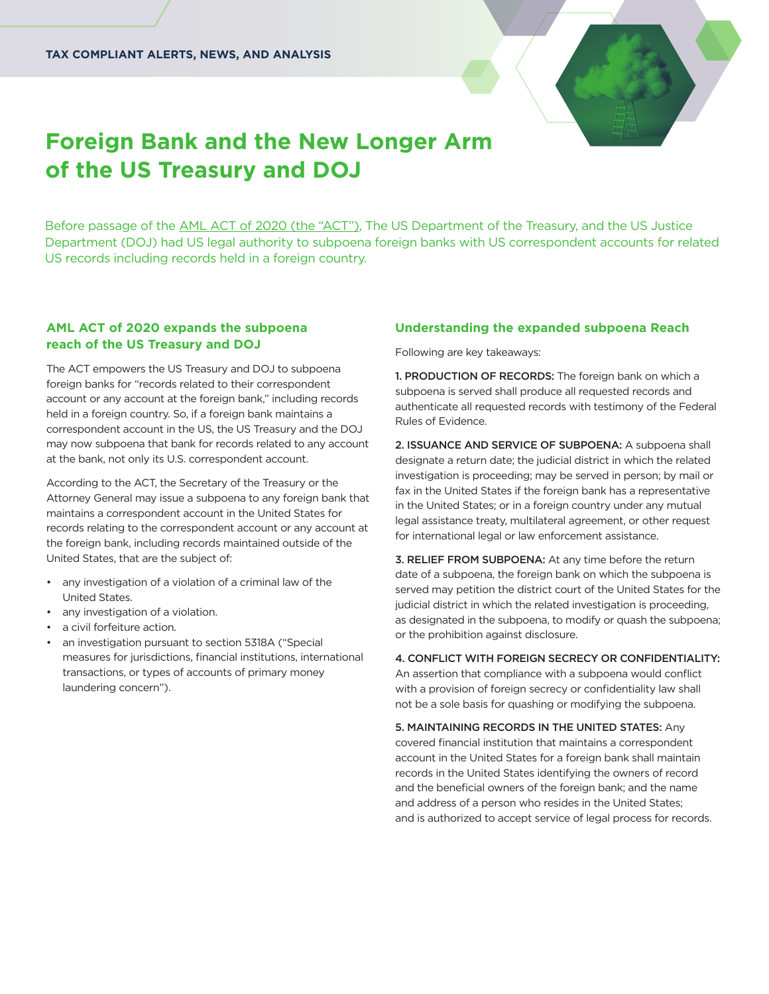

# **Foreign Bank and the New Longer Arm of the US Treasury and DOJ**

Before passage of the [AML ACT of 2020 \(the "ACT"\),](https://www.congress.gov/116/bills/hr6395/BILLS-116hr6395enr.pdf) The US Department of the Treasury, and the US Justice Department (DOJ) had US legal authority to subpoena foreign banks with US correspondent accounts for related US records including records held in a foreign country.

### **AML ACT of 2020 expands the subpoena reach of the US Treasury and DOJ**

The ACT empowers the US Treasury and DOJ to subpoena foreign banks for "records related to their correspondent account or any account at the foreign bank," including records held in a foreign country. So, if a foreign bank maintains a correspondent account in the US, the US Treasury and the DOJ may now subpoena that bank for records related to any account at the bank, not only its U.S. correspondent account.

According to the ACT, the Secretary of the Treasury or the Attorney General may issue a subpoena to any foreign bank that maintains a correspondent account in the United States for records relating to the correspondent account or any account at the foreign bank, including records maintained outside of the United States, that are the subject of:

- any investigation of a violation of a criminal law of the United States.
- any investigation of a violation.
- a civil forfeiture action.
- an investigation pursuant to section 5318A ("Special measures for jurisdictions, financial institutions, international transactions, or types of accounts of primary money laundering concern").

### **Understanding the expanded subpoena Reach**

Following are key takeaways:

1. PRODUCTION OF RECORDS: The foreign bank on which a subpoena is served shall produce all requested records and authenticate all requested records with testimony of the Federal Rules of Evidence.

2. ISSUANCE AND SERVICE OF SUBPOENA: A subpoena shall designate a return date; the judicial district in which the related investigation is proceeding; may be served in person; by mail or fax in the United States if the foreign bank has a representative in the United States; or in a foreign country under any mutual legal assistance treaty, multilateral agreement, or other request for international legal or law enforcement assistance.

3. RELIEF FROM SUBPOENA: At any time before the return date of a subpoena, the foreign bank on which the subpoena is served may petition the district court of the United States for the judicial district in which the related investigation is proceeding, as designated in the subpoena, to modify or quash the subpoena; or the prohibition against disclosure.

### 4. CONFLICT WITH FOREIGN SECRECY OR CONFIDENTIALITY:

An assertion that compliance with a subpoena would conflict with a provision of foreign secrecy or confidentiality law shall not be a sole basis for quashing or modifying the subpoena.

5. MAINTAINING RECORDS IN THE UNITED STATES: Any covered financial institution that maintains a correspondent account in the United States for a foreign bank shall maintain records in the United States identifying the owners of record and the beneficial owners of the foreign bank; and the name and address of a person who resides in the United States; and is authorized to accept service of legal process for records.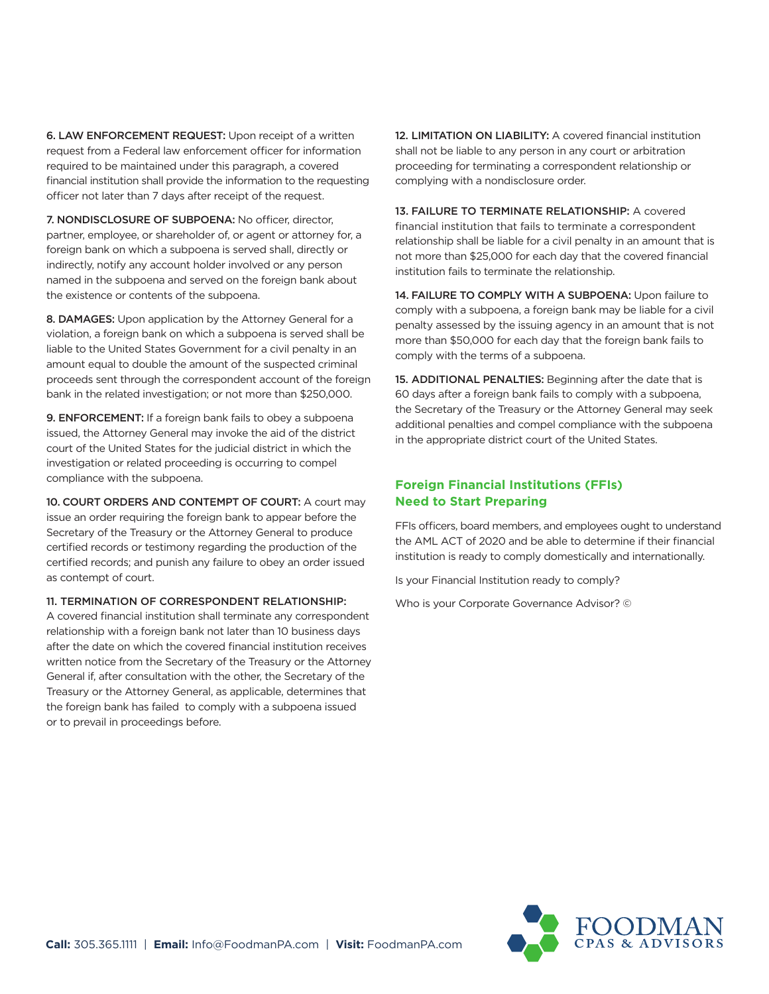6. LAW ENFORCEMENT REQUEST: Upon receipt of a written request from a Federal law enforcement officer for information required to be maintained under this paragraph, a covered financial institution shall provide the information to the requesting officer not later than 7 days after receipt of the request.

7. NONDISCLOSURE OF SUBPOENA: No officer, director, partner, employee, or shareholder of, or agent or attorney for, a foreign bank on which a subpoena is served shall, directly or indirectly, notify any account holder involved or any person named in the subpoena and served on the foreign bank about the existence or contents of the subpoena.

8. DAMAGES: Upon application by the Attorney General for a violation, a foreign bank on which a subpoena is served shall be liable to the United States Government for a civil penalty in an amount equal to double the amount of the suspected criminal proceeds sent through the correspondent account of the foreign bank in the related investigation; or not more than \$250,000.

9. ENFORCEMENT: If a foreign bank fails to obey a subpoena issued, the Attorney General may invoke the aid of the district court of the United States for the judicial district in which the investigation or related proceeding is occurring to compel compliance with the subpoena.

10. COURT ORDERS AND CONTEMPT OF COURT: A court may issue an order requiring the foreign bank to appear before the Secretary of the Treasury or the Attorney General to produce certified records or testimony regarding the production of the certified records; and punish any failure to obey an order issued as contempt of court.

#### 11. TERMINATION OF CORRESPONDENT RELATIONSHIP:

A covered financial institution shall terminate any correspondent relationship with a foreign bank not later than 10 business days after the date on which the covered financial institution receives written notice from the Secretary of the Treasury or the Attorney General if, after consultation with the other, the Secretary of the Treasury or the Attorney General, as applicable, determines that the foreign bank has failed to comply with a subpoena issued or to prevail in proceedings before.

12. LIMITATION ON LIABILITY: A covered financial institution shall not be liable to any person in any court or arbitration proceeding for terminating a correspondent relationship or complying with a nondisclosure order.

13. FAILURE TO TERMINATE RELATIONSHIP: A covered financial institution that fails to terminate a correspondent relationship shall be liable for a civil penalty in an amount that is not more than \$25,000 for each day that the covered financial institution fails to terminate the relationship.

14. FAILURE TO COMPLY WITH A SUBPOENA: Upon failure to comply with a subpoena, a foreign bank may be liable for a civil penalty assessed by the issuing agency in an amount that is not more than \$50,000 for each day that the foreign bank fails to comply with the terms of a subpoena.

15. ADDITIONAL PENALTIES: Beginning after the date that is 60 days after a foreign bank fails to comply with a subpoena, the Secretary of the Treasury or the Attorney General may seek additional penalties and compel compliance with the subpoena in the appropriate district court of the United States.

# **Foreign Financial Institutions (FFIs) Need to Start Preparing**

FFIs officers, board members, and employees ought to understand the AML ACT of 2020 and be able to determine if their financial institution is ready to comply domestically and internationally.

Is your Financial Institution ready to comply?

Who is your Corporate Governance Advisor? ©